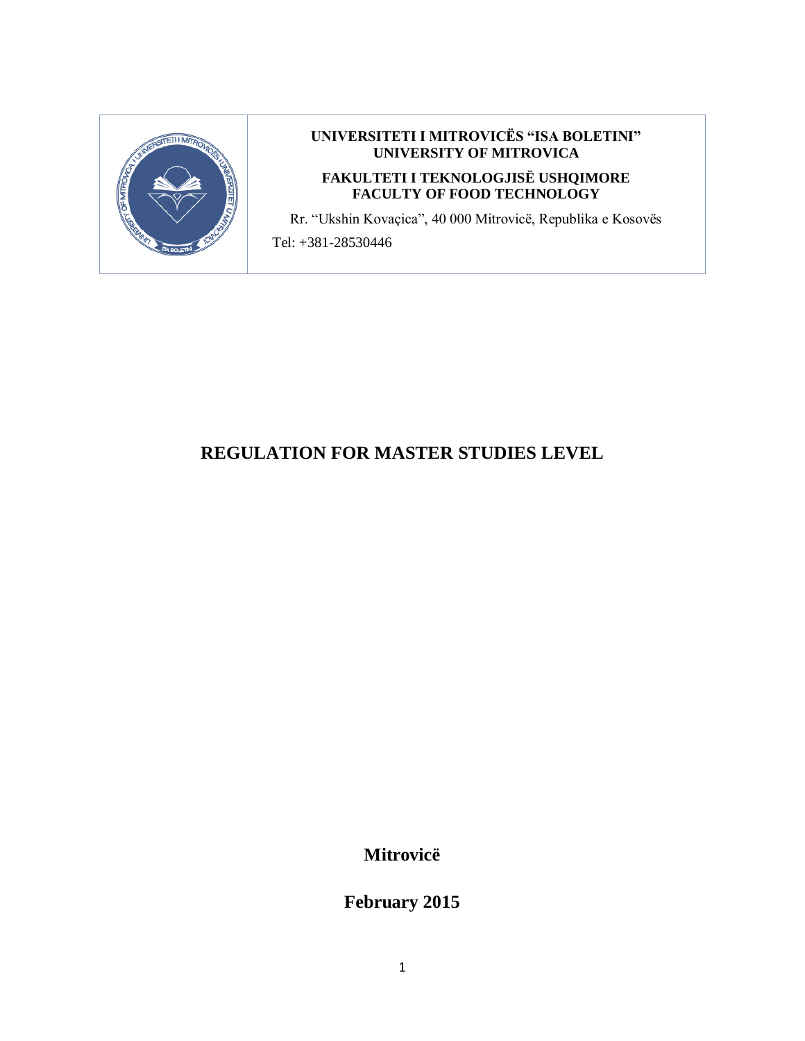

#### **UNIVERSITETI I MITROVICËS "ISA BOLETINI" UNIVERSITY OF MITROVICA**

#### **FAKULTETI I TEKNOLOGJISË USHQIMORE FACULTY OF FOOD TECHNOLOGY**

Rr. "Ukshin Kovaçica", 40 000 Mitrovicë, Republika e Kosovës

Tel: +381-28530446

# **REGULATION FOR MASTER STUDIES LEVEL**

**Mitrovicë**

**February 2015**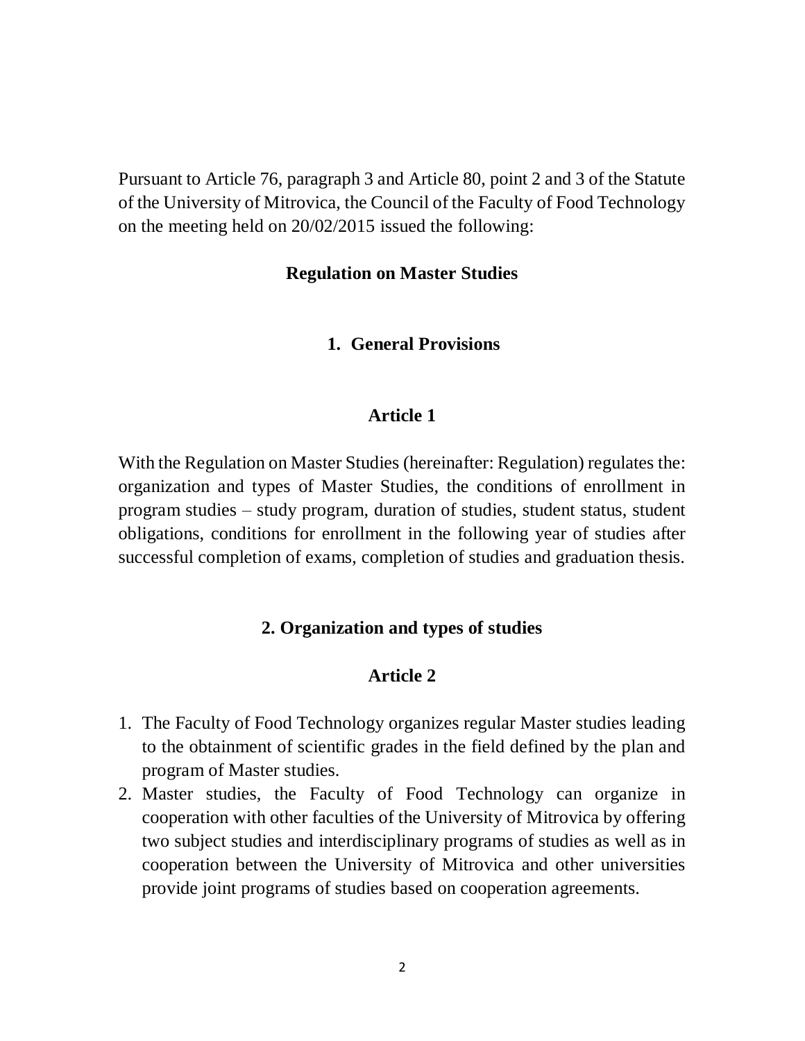Pursuant to Article 76, paragraph 3 and Article 80, point 2 and 3 of the Statute of the University of Mitrovica, the Council of the Faculty of Food Technology on the meeting held on 20/02/2015 issued the following:

### **Regulation on Master Studies**

### **1. General Provisions**

## **Article 1**

With the Regulation on Master Studies (hereinafter: Regulation) regulates the: organization and types of Master Studies, the conditions of enrollment in program studies – study program, duration of studies, student status, student obligations, conditions for enrollment in the following year of studies after successful completion of exams, completion of studies and graduation thesis.

## **2. Organization and types of studies**

- 1. The Faculty of Food Technology organizes regular Master studies leading to the obtainment of scientific grades in the field defined by the plan and program of Master studies.
- 2. Master studies, the Faculty of Food Technology can organize in cooperation with other faculties of the University of Mitrovica by offering two subject studies and interdisciplinary programs of studies as well as in cooperation between the University of Mitrovica and other universities provide joint programs of studies based on cooperation agreements.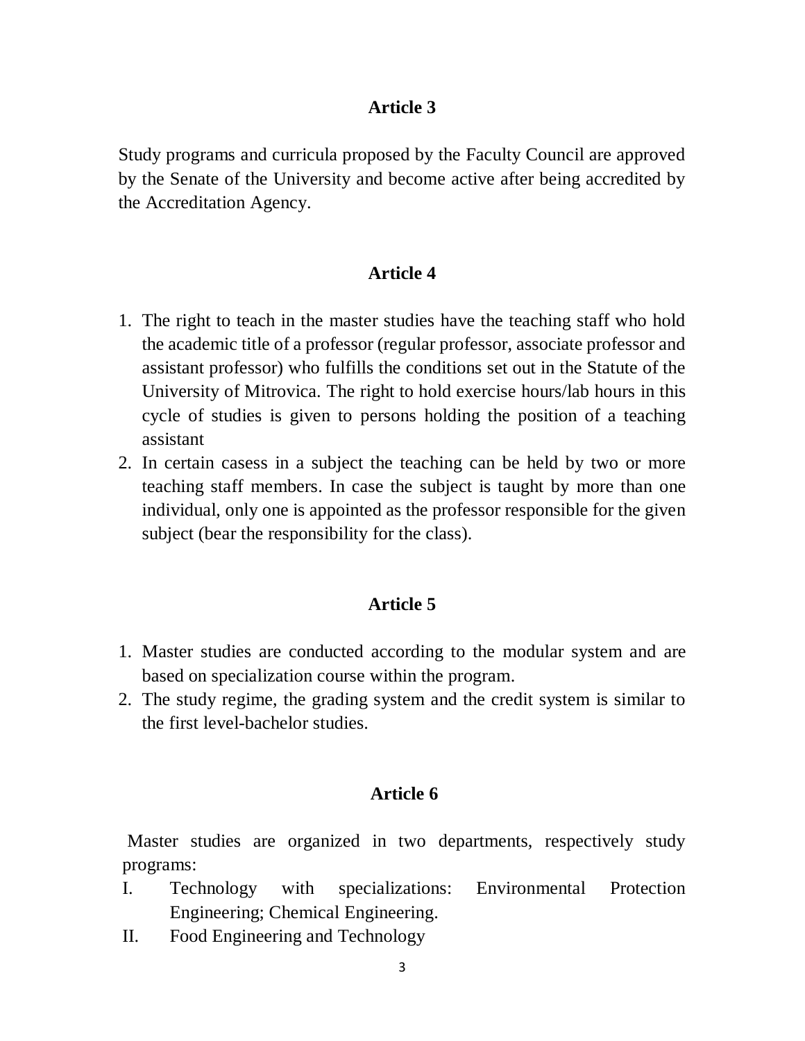Study programs and curricula proposed by the Faculty Council are approved by the Senate of the University and become active after being accredited by the Accreditation Agency.

## **Article 4**

- 1. The right to teach in the master studies have the teaching staff who hold the academic title of a professor (regular professor, associate professor and assistant professor) who fulfills the conditions set out in the Statute of the University of Mitrovica. The right to hold exercise hours/lab hours in this cycle of studies is given to persons holding the position of a teaching assistant
- 2. In certain casess in a subject the teaching can be held by two or more teaching staff members. In case the subject is taught by more than one individual, only one is appointed as the professor responsible for the given subject (bear the responsibility for the class).

### **Article 5**

- 1. Master studies are conducted according to the modular system and are based on specialization course within the program.
- 2. The study regime, the grading system and the credit system is similar to the first level-bachelor studies.

### **Article 6**

Master studies are organized in two departments, respectively study programs:

- I. Technology with specializations: Environmental Protection Engineering; Chemical Engineering.
- II. Food Engineering and Technology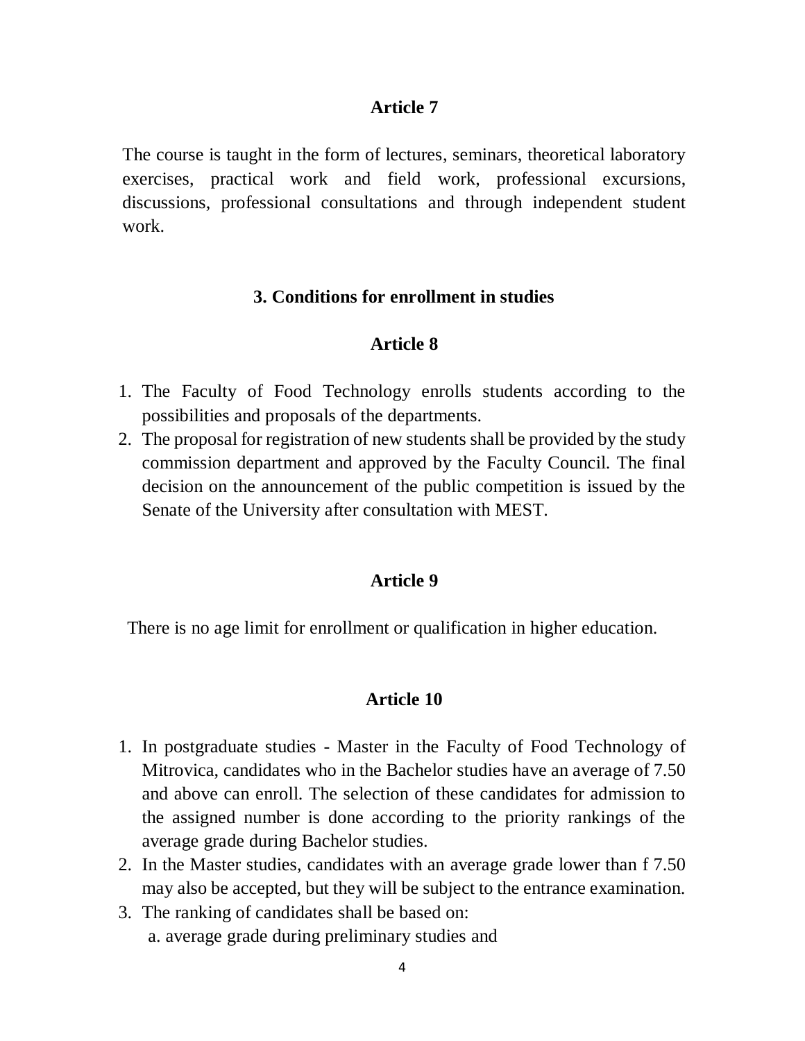The course is taught in the form of lectures, seminars, theoretical laboratory exercises, practical work and field work, professional excursions, discussions, professional consultations and through independent student work.

## **3. Conditions for enrollment in studies**

## **Article 8**

- 1. The Faculty of Food Technology enrolls students according to the possibilities and proposals of the departments.
- 2. The proposal for registration of new students shall be provided by the study commission department and approved by the Faculty Council. The final decision on the announcement of the public competition is issued by the Senate of the University after consultation with MEST.

### **Article 9**

There is no age limit for enrollment or qualification in higher education.

- 1. In postgraduate studies Master in the Faculty of Food Technology of Mitrovica, candidates who in the Bachelor studies have an average of 7.50 and above can enroll. The selection of these candidates for admission to the assigned number is done according to the priority rankings of the average grade during Bachelor studies.
- 2. In the Master studies, candidates with an average grade lower than f 7.50 may also be accepted, but they will be subject to the entrance examination.
- 3. The ranking of candidates shall be based on: a. average grade during preliminary studies and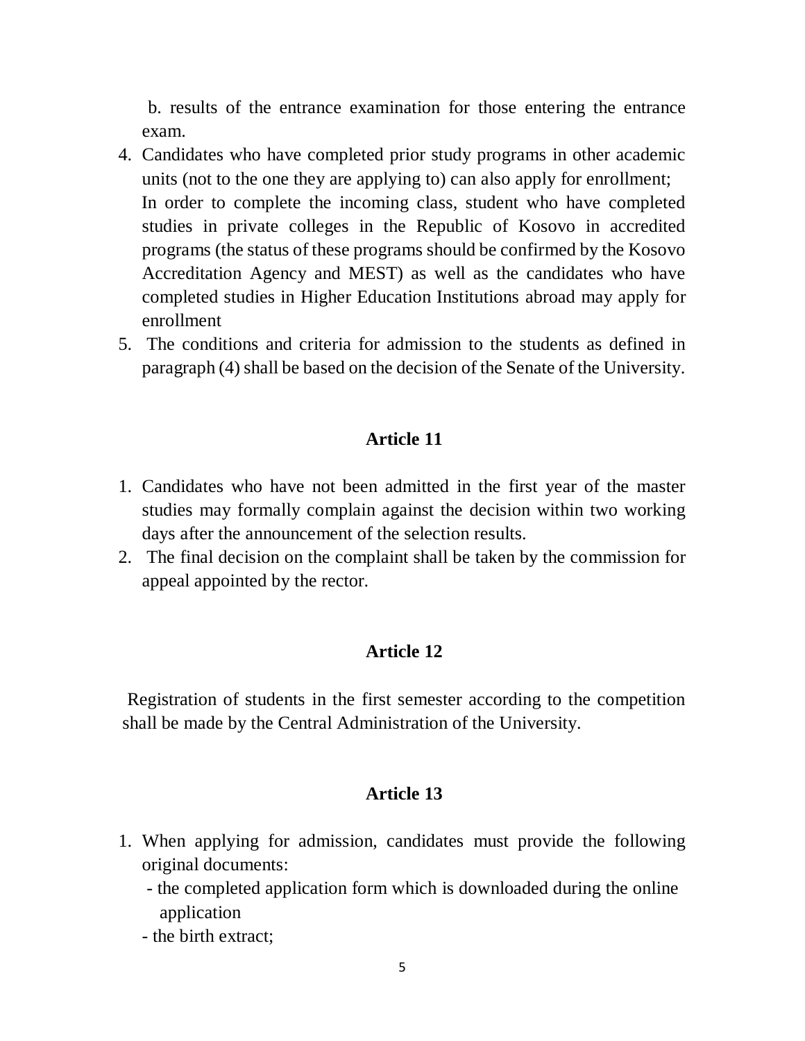b. results of the entrance examination for those entering the entrance exam.

- 4. Candidates who have completed prior study programs in other academic units (not to the one they are applying to) can also apply for enrollment; In order to complete the incoming class, student who have completed studies in private colleges in the Republic of Kosovo in accredited programs (the status of these programs should be confirmed by the Kosovo Accreditation Agency and MEST) as well as the candidates who have completed studies in Higher Education Institutions abroad may apply for enrollment
- 5. The conditions and criteria for admission to the students as defined in paragraph (4) shall be based on the decision of the Senate of the University.

### **Article 11**

- 1. Candidates who have not been admitted in the first year of the master studies may formally complain against the decision within two working days after the announcement of the selection results.
- 2. The final decision on the complaint shall be taken by the commission for appeal appointed by the rector.

## **Article 12**

Registration of students in the first semester according to the competition shall be made by the Central Administration of the University.

- 1. When applying for admission, candidates must provide the following original documents:
	- the completed application form which is downloaded during the online application
	- the birth extract;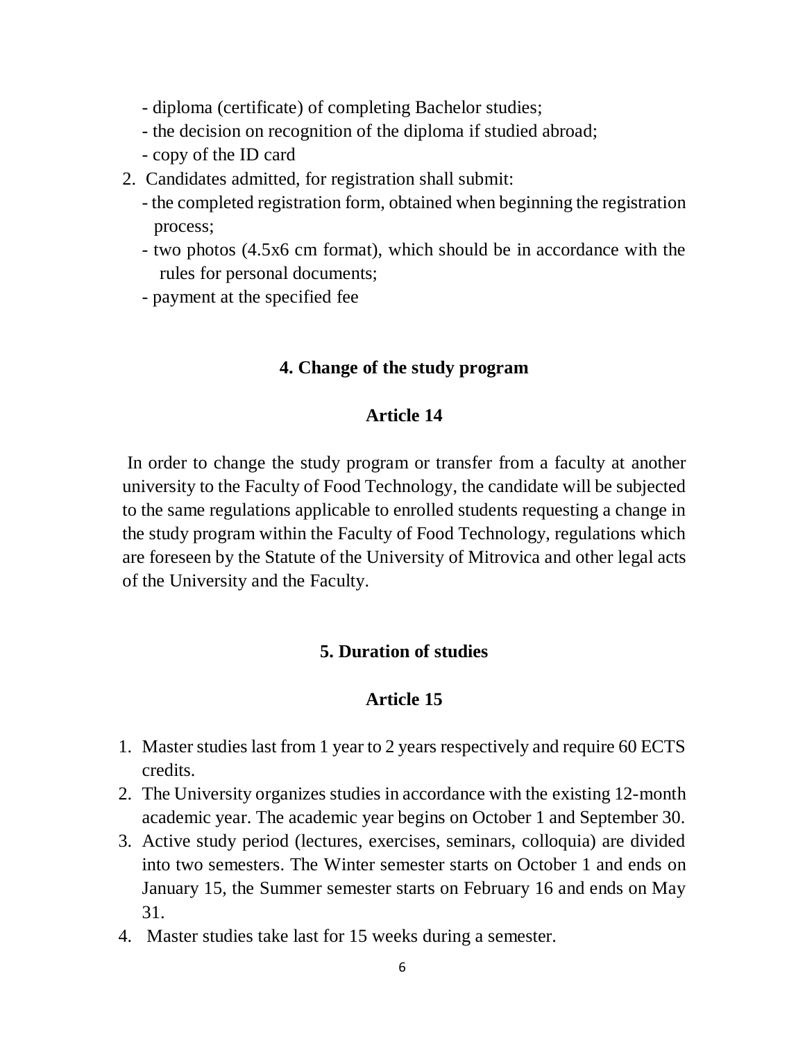- diploma (certificate) of completing Bachelor studies;
- the decision on recognition of the diploma if studied abroad;
- copy of the ID card
- 2. Candidates admitted, for registration shall submit:
	- the completed registration form, obtained when beginning the registration process;
	- two photos (4.5x6 cm format), which should be in accordance with the rules for personal documents;
	- payment at the specified fee

### **4. Change of the study program**

### **Article 14**

In order to change the study program or transfer from a faculty at another university to the Faculty of Food Technology, the candidate will be subjected to the same regulations applicable to enrolled students requesting a change in the study program within the Faculty of Food Technology, regulations which are foreseen by the Statute of the University of Mitrovica and other legal acts of the University and the Faculty.

## **5. Duration of studies**

- 1. Master studies last from 1 year to 2 years respectively and require 60 ECTS credits.
- 2. The University organizes studies in accordance with the existing 12-month academic year. The academic year begins on October 1 and September 30.
- 3. Active study period (lectures, exercises, seminars, colloquia) are divided into two semesters. The Winter semester starts on October 1 and ends on January 15, the Summer semester starts on February 16 and ends on May 31.
- 4. Master studies take last for 15 weeks during a semester.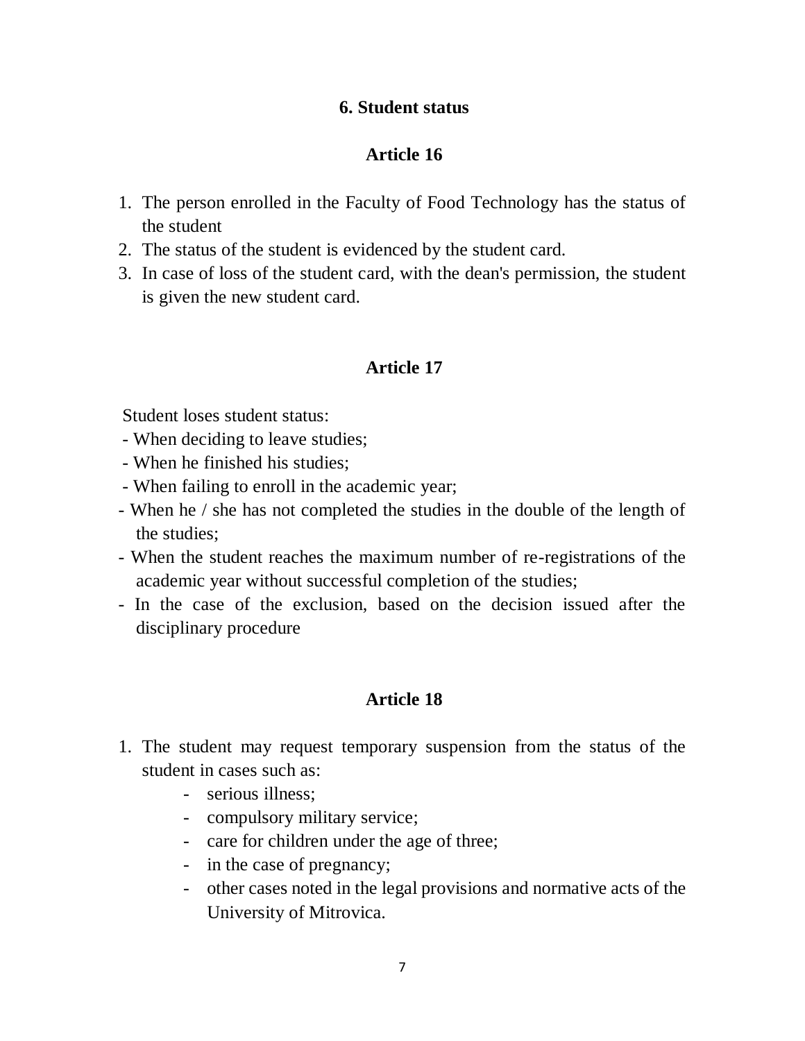## **6. Student status**

## **Article 16**

- 1. The person enrolled in the Faculty of Food Technology has the status of the student
- 2. The status of the student is evidenced by the student card.
- 3. In case of loss of the student card, with the dean's permission, the student is given the new student card.

## **Article 17**

Student loses student status:

- When deciding to leave studies;
- When he finished his studies;
- When failing to enroll in the academic year;
- When he / she has not completed the studies in the double of the length of the studies;
- When the student reaches the maximum number of re-registrations of the academic year without successful completion of the studies;
- In the case of the exclusion, based on the decision issued after the disciplinary procedure

- 1. The student may request temporary suspension from the status of the student in cases such as:
	- serious illness;
	- compulsory military service;
	- care for children under the age of three;
	- in the case of pregnancy;
	- other cases noted in the legal provisions and normative acts of the University of Mitrovica.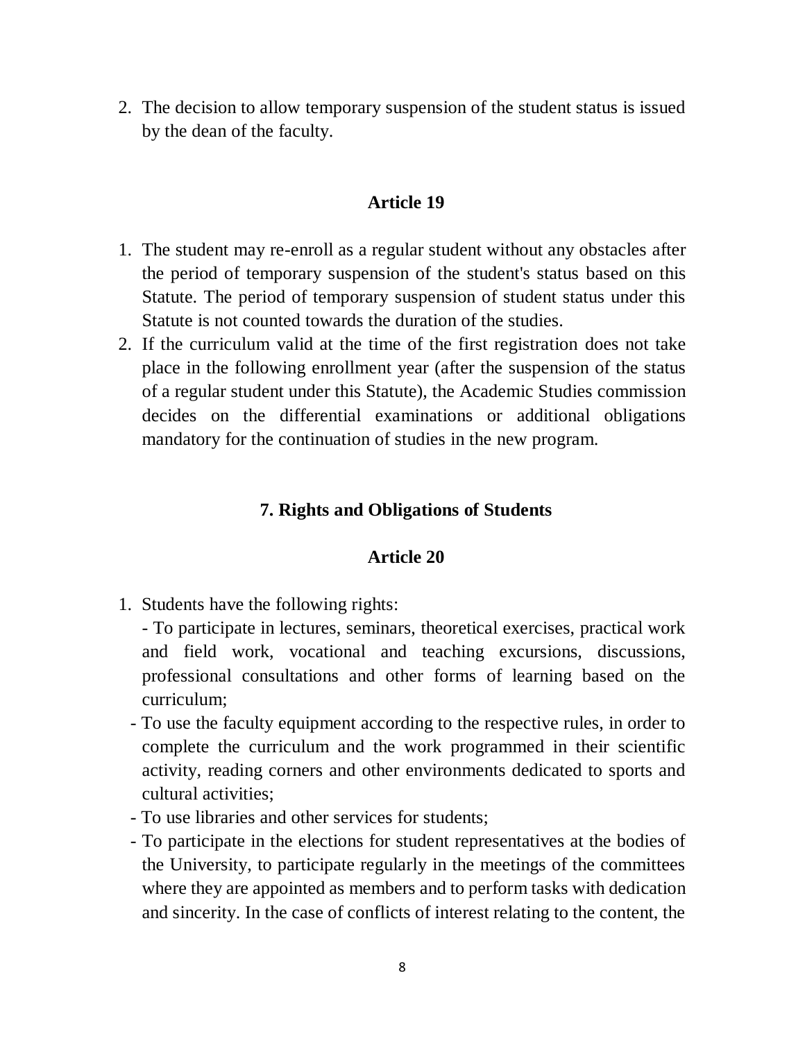2. The decision to allow temporary suspension of the student status is issued by the dean of the faculty.

### **Article 19**

- 1. The student may re-enroll as a regular student without any obstacles after the period of temporary suspension of the student's status based on this Statute. The period of temporary suspension of student status under this Statute is not counted towards the duration of the studies.
- 2. If the curriculum valid at the time of the first registration does not take place in the following enrollment year (after the suspension of the status of a regular student under this Statute), the Academic Studies commission decides on the differential examinations or additional obligations mandatory for the continuation of studies in the new program.

### **7. Rights and Obligations of Students**

- 1. Students have the following rights:
	- To participate in lectures, seminars, theoretical exercises, practical work and field work, vocational and teaching excursions, discussions, professional consultations and other forms of learning based on the curriculum;
	- To use the faculty equipment according to the respective rules, in order to complete the curriculum and the work programmed in their scientific activity, reading corners and other environments dedicated to sports and cultural activities;
	- To use libraries and other services for students;
	- To participate in the elections for student representatives at the bodies of the University, to participate regularly in the meetings of the committees where they are appointed as members and to perform tasks with dedication and sincerity. In the case of conflicts of interest relating to the content, the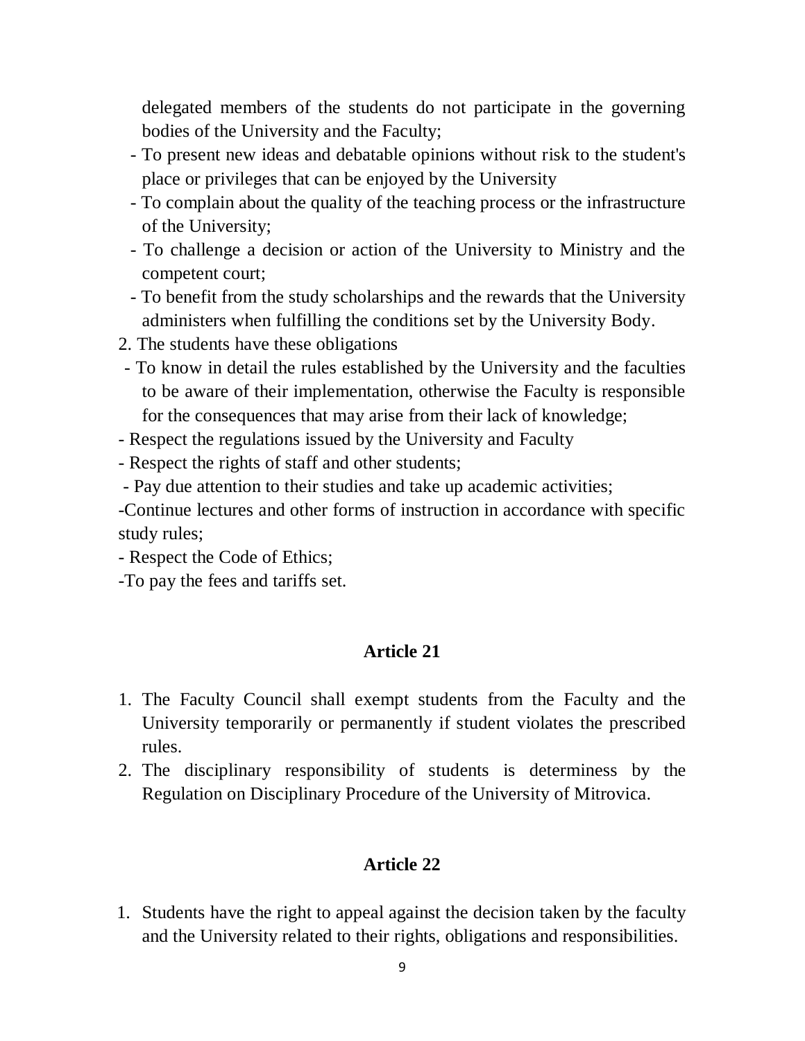delegated members of the students do not participate in the governing bodies of the University and the Faculty;

- To present new ideas and debatable opinions without risk to the student's place or privileges that can be enjoyed by the University
- To complain about the quality of the teaching process or the infrastructure of the University;
- To challenge a decision or action of the University to Ministry and the competent court;
- To benefit from the study scholarships and the rewards that the University administers when fulfilling the conditions set by the University Body.
- 2. The students have these obligations
- To know in detail the rules established by the University and the faculties to be aware of their implementation, otherwise the Faculty is responsible for the consequences that may arise from their lack of knowledge;
- Respect the regulations issued by the University and Faculty
- Respect the rights of staff and other students;
- Pay due attention to their studies and take up academic activities;

-Continue lectures and other forms of instruction in accordance with specific study rules;

- Respect the Code of Ethics;

-To pay the fees and tariffs set.

### **Article 21**

- 1. The Faculty Council shall exempt students from the Faculty and the University temporarily or permanently if student violates the prescribed rules.
- 2. The disciplinary responsibility of students is determiness by the Regulation on Disciplinary Procedure of the University of Mitrovica.

### **Article 22**

1. Students have the right to appeal against the decision taken by the faculty and the University related to their rights, obligations and responsibilities.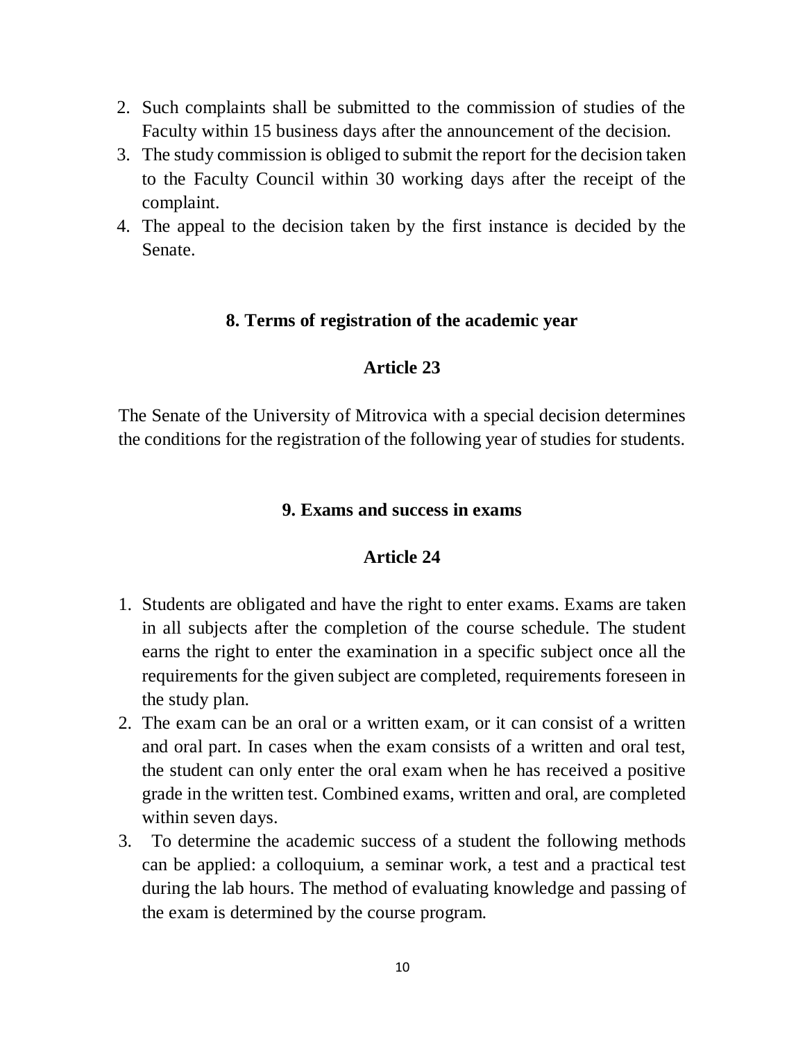- 2. Such complaints shall be submitted to the commission of studies of the Faculty within 15 business days after the announcement of the decision.
- 3. The study commission is obliged to submit the report for the decision taken to the Faculty Council within 30 working days after the receipt of the complaint.
- 4. The appeal to the decision taken by the first instance is decided by the Senate.

#### **8. Terms of registration of the academic year**

### **Article 23**

The Senate of the University of Mitrovica with a special decision determines the conditions for the registration of the following year of studies for students.

### **9. Exams and success in exams**

- 1. Students are obligated and have the right to enter exams. Exams are taken in all subjects after the completion of the course schedule. The student earns the right to enter the examination in a specific subject once all the requirements for the given subject are completed, requirements foreseen in the study plan.
- 2. The exam can be an oral or a written exam, or it can consist of a written and oral part. In cases when the exam consists of a written and oral test, the student can only enter the oral exam when he has received a positive grade in the written test. Combined exams, written and oral, are completed within seven days.
- 3. To determine the academic success of a student the following methods can be applied: a colloquium, a seminar work, a test and a practical test during the lab hours. The method of evaluating knowledge and passing of the exam is determined by the course program.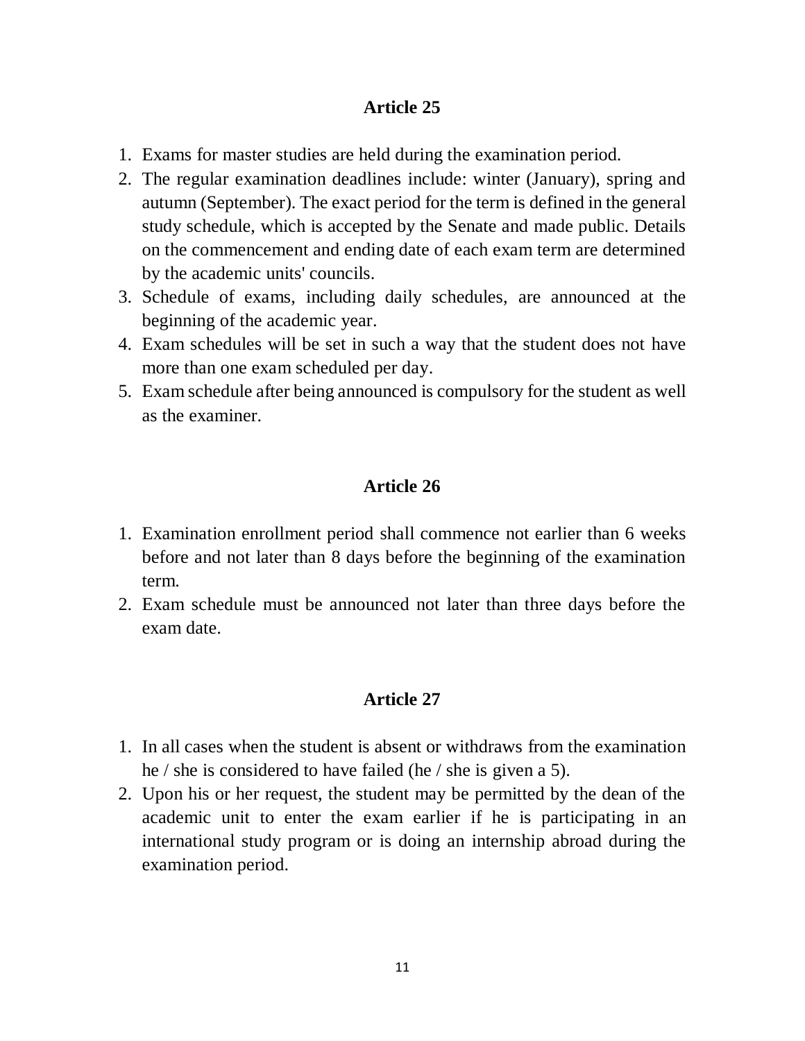- 1. Exams for master studies are held during the examination period.
- 2. The regular examination deadlines include: winter (January), spring and autumn (September). The exact period for the term is defined in the general study schedule, which is accepted by the Senate and made public. Details on the commencement and ending date of each exam term are determined by the academic units' councils.
- 3. Schedule of exams, including daily schedules, are announced at the beginning of the academic year.
- 4. Exam schedules will be set in such a way that the student does not have more than one exam scheduled per day.
- 5. Exam schedule after being announced is compulsory for the student as well as the examiner.

## **Article 26**

- 1. Examination enrollment period shall commence not earlier than 6 weeks before and not later than 8 days before the beginning of the examination term.
- 2. Exam schedule must be announced not later than three days before the exam date.

- 1. In all cases when the student is absent or withdraws from the examination he / she is considered to have failed (he / she is given a 5).
- 2. Upon his or her request, the student may be permitted by the dean of the academic unit to enter the exam earlier if he is participating in an international study program or is doing an internship abroad during the examination period.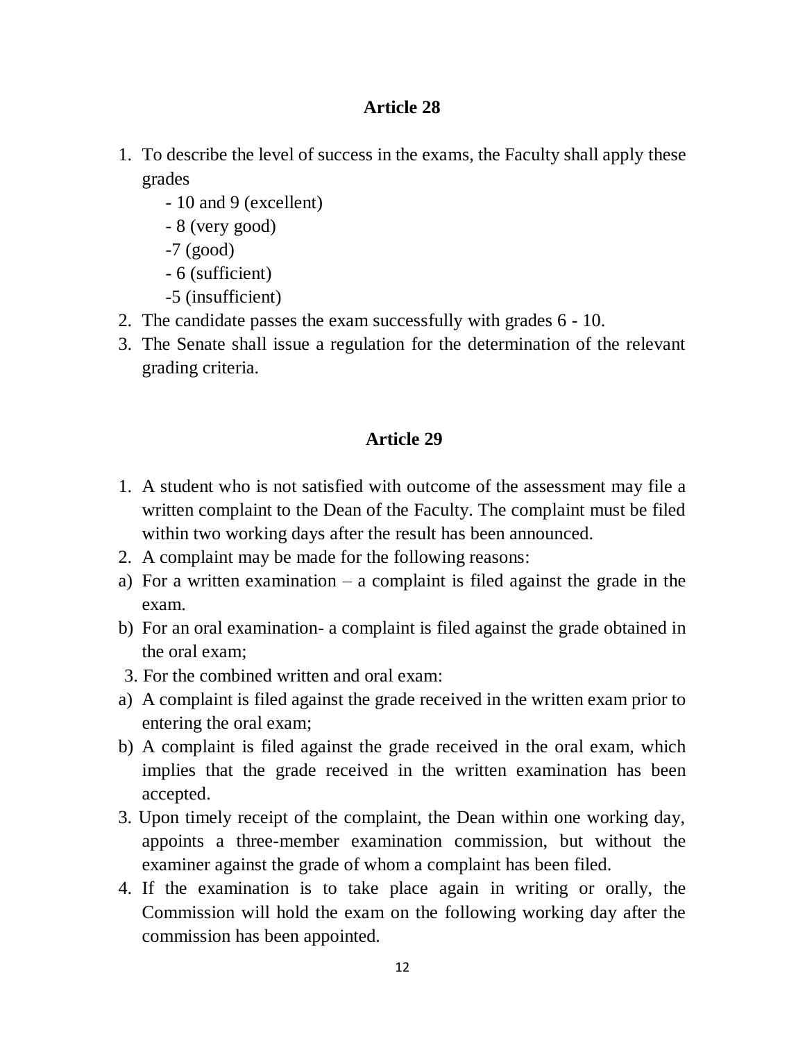- 1. To describe the level of success in the exams, the Faculty shall apply these grades
	- 10 and 9 (excellent)
	- 8 (very good)
	- -7 (good)
	- 6 (sufficient)
	- -5 (insufficient)
- 2. The candidate passes the exam successfully with grades 6 10.
- 3. The Senate shall issue a regulation for the determination of the relevant grading criteria.

- 1. A student who is not satisfied with outcome of the assessment may file a written complaint to the Dean of the Faculty. The complaint must be filed within two working days after the result has been announced.
- 2. A complaint may be made for the following reasons:
- a) For a written examination  $-$  a complaint is filed against the grade in the exam.
- b) For an oral examination- a complaint is filed against the grade obtained in the oral exam;
- 3. For the combined written and oral exam:
- a) A complaint is filed against the grade received in the written exam prior to entering the oral exam;
- b) A complaint is filed against the grade received in the oral exam, which implies that the grade received in the written examination has been accepted.
- 3. Upon timely receipt of the complaint, the Dean within one working day, appoints a three-member examination commission, but without the examiner against the grade of whom a complaint has been filed.
- 4. If the examination is to take place again in writing or orally, the Commission will hold the exam on the following working day after the commission has been appointed.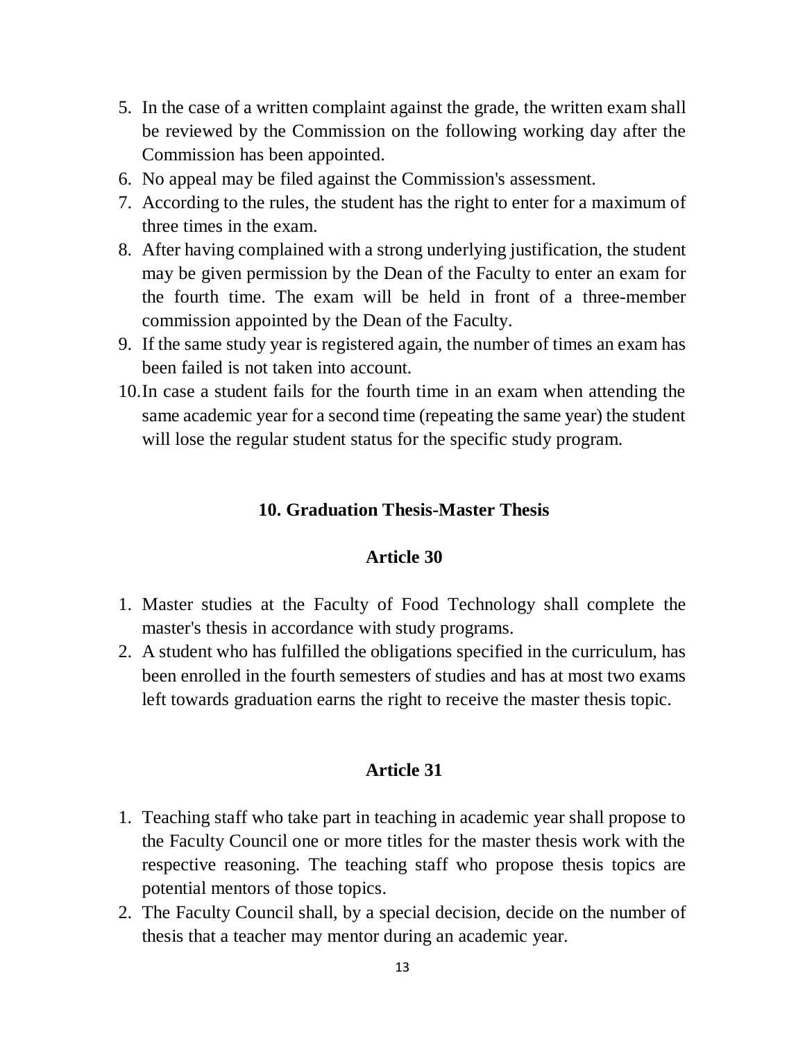- 5. In the case of a written complaint against the grade, the written exam shall be reviewed by the Commission on the following working day after the Commission has been appointed.
- 6. No appeal may be filed against the Commission's assessment.
- 7. According to the rules, the student has the right to enter for a maximum of three times in the exam.
- 8. After having complained with a strong underlying justification, the student may be given permission by the Dean of the Faculty to enter an exam for the fourth time. The exam will be held in front of a three-member commission appointed by the Dean of the Faculty.
- 9. If the same study year is registered again, the number of times an exam has been failed is not taken into account.
- 10.In case a student fails for the fourth time in an exam when attending the same academic year for a second time (repeating the same year) the student will lose the regular student status for the specific study program.

### **10. Graduation Thesis-Master Thesis**

#### **Article 30**

- 1. Master studies at the Faculty of Food Technology shall complete the master's thesis in accordance with study programs.
- 2. A student who has fulfilled the obligations specified in the curriculum, has been enrolled in the fourth semesters of studies and has at most two exams left towards graduation earns the right to receive the master thesis topic.

- 1. Teaching staff who take part in teaching in academic year shall propose to the Faculty Council one or more titles for the master thesis work with the respective reasoning. The teaching staff who propose thesis topics are potential mentors of those topics.
- 2. The Faculty Council shall, by a special decision, decide on the number of thesis that a teacher may mentor during an academic year.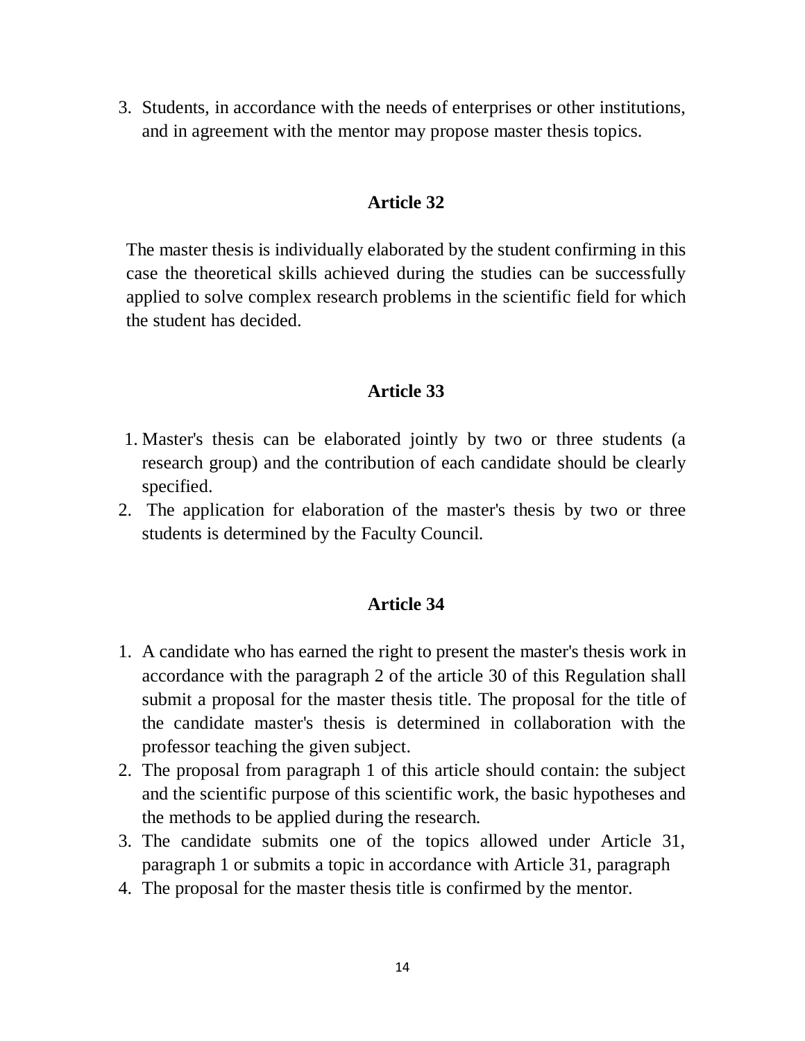3. Students, in accordance with the needs of enterprises or other institutions, and in agreement with the mentor may propose master thesis topics.

#### **Article 32**

The master thesis is individually elaborated by the student confirming in this case the theoretical skills achieved during the studies can be successfully applied to solve complex research problems in the scientific field for which the student has decided.

## **Article 33**

- 1. Master's thesis can be elaborated jointly by two or three students (a research group) and the contribution of each candidate should be clearly specified.
- 2. The application for elaboration of the master's thesis by two or three students is determined by the Faculty Council.

- 1. A candidate who has earned the right to present the master's thesis work in accordance with the paragraph 2 of the article 30 of this Regulation shall submit a proposal for the master thesis title. The proposal for the title of the candidate master's thesis is determined in collaboration with the professor teaching the given subject.
- 2. The proposal from paragraph 1 of this article should contain: the subject and the scientific purpose of this scientific work, the basic hypotheses and the methods to be applied during the research.
- 3. The candidate submits one of the topics allowed under Article 31, paragraph 1 or submits a topic in accordance with Article 31, paragraph
- 4. The proposal for the master thesis title is confirmed by the mentor.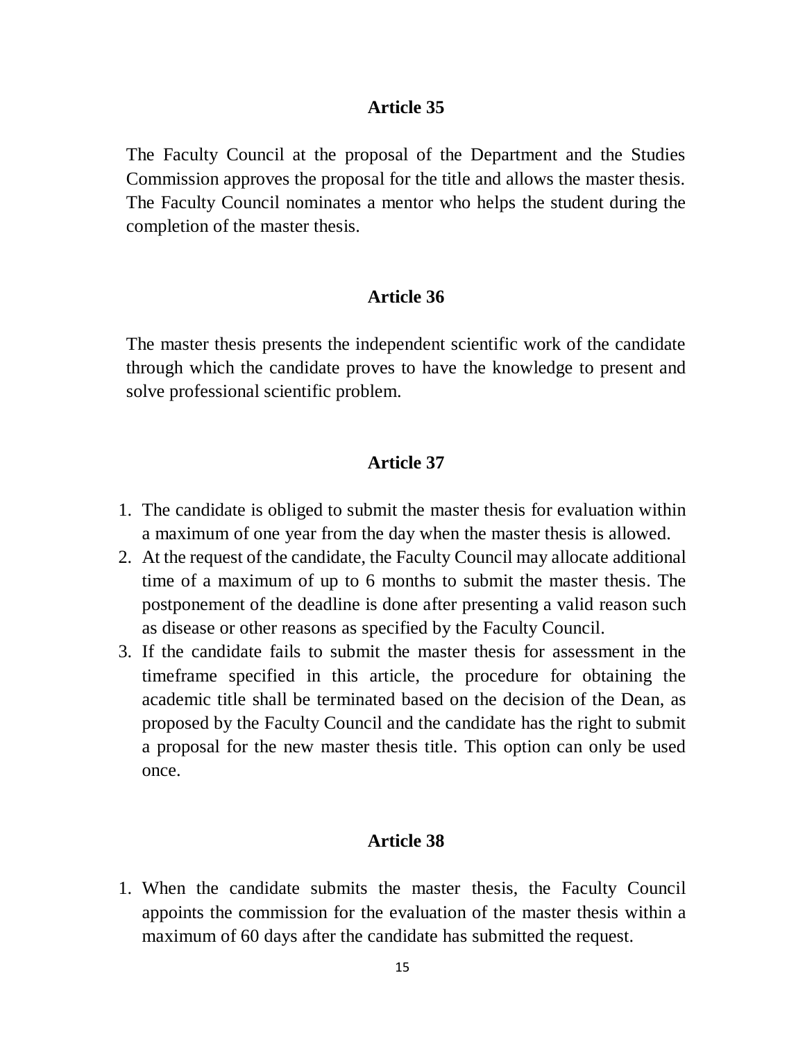The Faculty Council at the proposal of the Department and the Studies Commission approves the proposal for the title and allows the master thesis. The Faculty Council nominates a mentor who helps the student during the completion of the master thesis.

### **Article 36**

The master thesis presents the independent scientific work of the candidate through which the candidate proves to have the knowledge to present and solve professional scientific problem.

#### **Article 37**

- 1. The candidate is obliged to submit the master thesis for evaluation within a maximum of one year from the day when the master thesis is allowed.
- 2. At the request of the candidate, the Faculty Council may allocate additional time of a maximum of up to 6 months to submit the master thesis. The postponement of the deadline is done after presenting a valid reason such as disease or other reasons as specified by the Faculty Council.
- 3. If the candidate fails to submit the master thesis for assessment in the timeframe specified in this article, the procedure for obtaining the academic title shall be terminated based on the decision of the Dean, as proposed by the Faculty Council and the candidate has the right to submit a proposal for the new master thesis title. This option can only be used once.

## **Article 38**

1. When the candidate submits the master thesis, the Faculty Council appoints the commission for the evaluation of the master thesis within a maximum of 60 days after the candidate has submitted the request.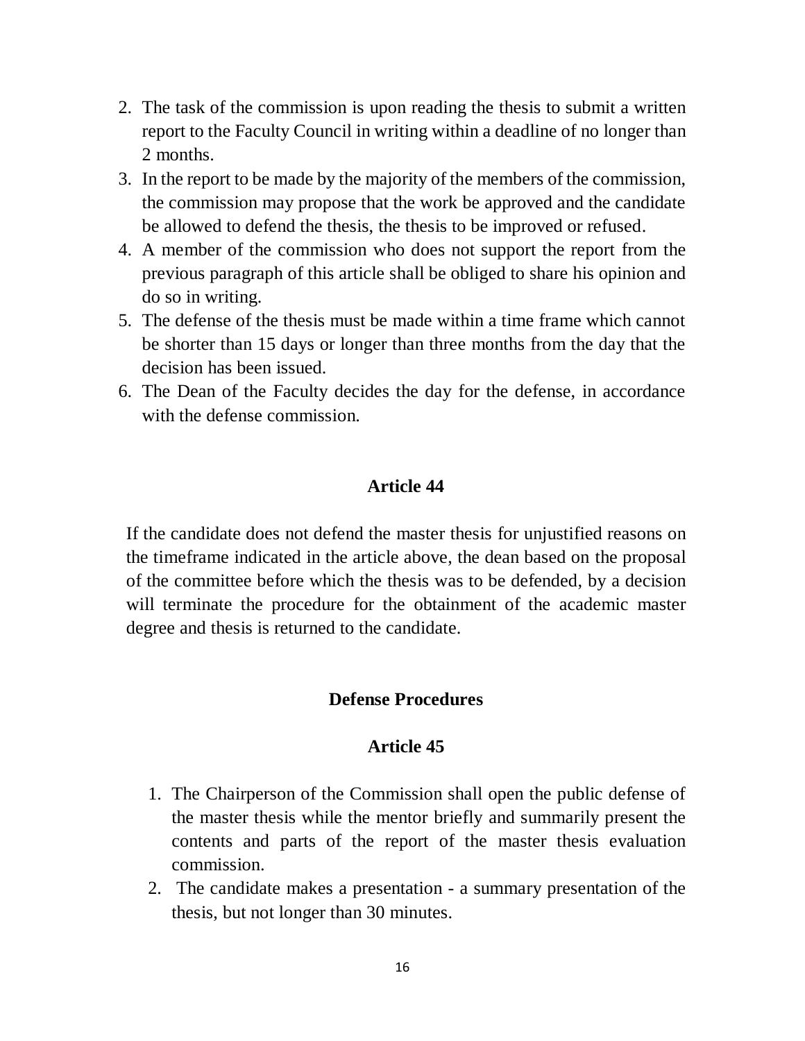- 2. The task of the commission is upon reading the thesis to submit a written report to the Faculty Council in writing within a deadline of no longer than 2 months.
- 3. In the report to be made by the majority of the members of the commission, the commission may propose that the work be approved and the candidate be allowed to defend the thesis, the thesis to be improved or refused.
- 4. A member of the commission who does not support the report from the previous paragraph of this article shall be obliged to share his opinion and do so in writing.
- 5. The defense of the thesis must be made within a time frame which cannot be shorter than 15 days or longer than three months from the day that the decision has been issued.
- 6. The Dean of the Faculty decides the day for the defense, in accordance with the defense commission.

If the candidate does not defend the master thesis for unjustified reasons on the timeframe indicated in the article above, the dean based on the proposal of the committee before which the thesis was to be defended, by a decision will terminate the procedure for the obtainment of the academic master degree and thesis is returned to the candidate.

#### **Defense Procedures**

- 1. The Chairperson of the Commission shall open the public defense of the master thesis while the mentor briefly and summarily present the contents and parts of the report of the master thesis evaluation commission.
- 2. The candidate makes a presentation a summary presentation of the thesis, but not longer than 30 minutes.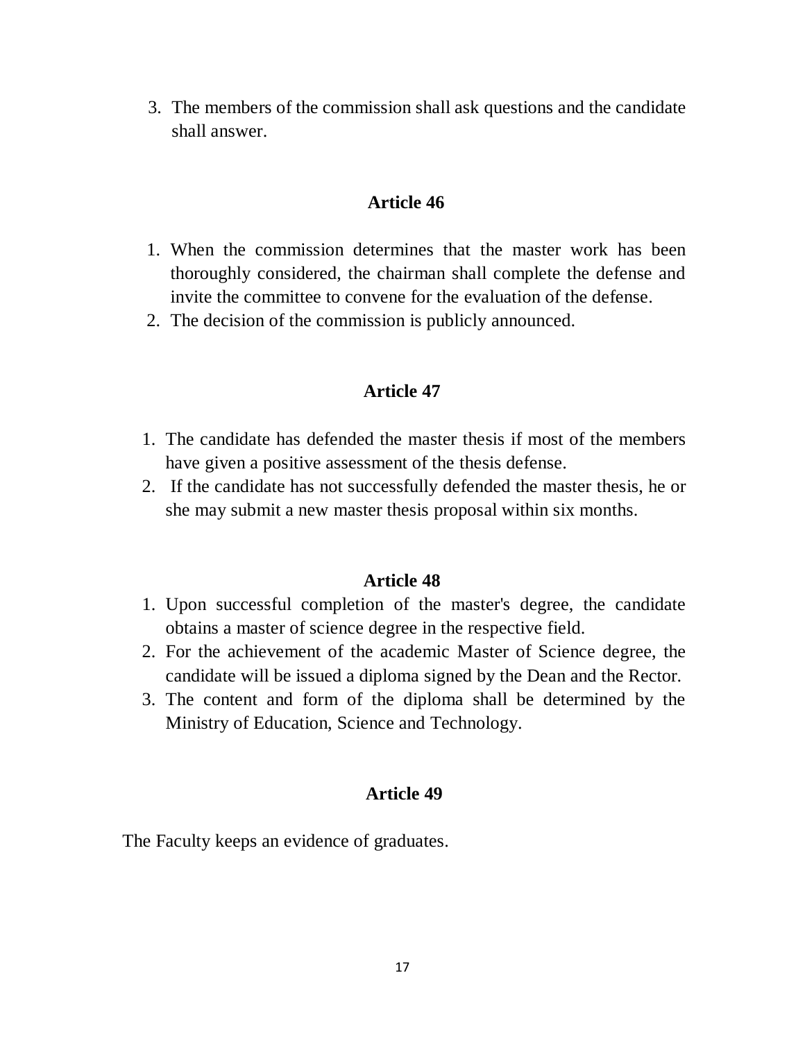3. The members of the commission shall ask questions and the candidate shall answer.

#### **Article 46**

- 1. When the commission determines that the master work has been thoroughly considered, the chairman shall complete the defense and invite the committee to convene for the evaluation of the defense.
- 2. The decision of the commission is publicly announced.

## **Article 47**

- 1. The candidate has defended the master thesis if most of the members have given a positive assessment of the thesis defense.
- 2. If the candidate has not successfully defended the master thesis, he or she may submit a new master thesis proposal within six months.

#### **Article 48**

- 1. Upon successful completion of the master's degree, the candidate obtains a master of science degree in the respective field.
- 2. For the achievement of the academic Master of Science degree, the candidate will be issued a diploma signed by the Dean and the Rector.
- 3. The content and form of the diploma shall be determined by the Ministry of Education, Science and Technology.

#### **Article 49**

The Faculty keeps an evidence of graduates.